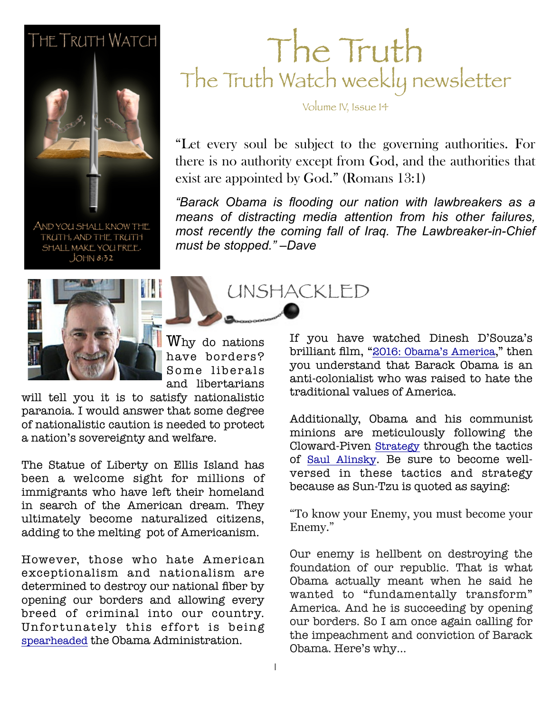### **THE TRUTH WATCH**



AND YOU SHALL KNOW THE TRUTH, AND THE TRUTH SHALL MAKE YOU FREE.  $JOHN 8:32$ 



Why do nations have borders? Some liberals and libertarians

will tell you it is to satisfy nationalistic paranoia. I would answer that some degree of nationalistic caution is needed to protect a nation's sovereignty and welfare.

The Statue of Liberty on Ellis Island has been a welcome sight for millions of immigrants who have left their homeland in search of the American dream. They ultimately become naturalized citizens, adding to the melting pot of Americanism.

However, those who hate American exceptionalism and nationalism are determined to destroy our national fiber by opening our borders and allowing every breed of criminal into our country. Unfortunately this effort is being [spearheaded](http://www.whitehouse.gov/the-press-office/2014/06/02/presidential-memorandum-response-influx-unaccompanied-alien-children-acr) the Obama Administration.

### The Truth The Truth Watch weekly newsletter

Volume IV, Issue 14

"Let every soul be subject to the governing authorities. For there is no authority except from God, and the authorities that exist are appointed by God." (Romans 13:1)

**February 26, 2011 Seama 26, 2011 Seama** is flooding our nation with lawbreakers as a *means of distracting media attention from his other failures, most recently the coming fall of Iraq. The Lawbreaker-in-Chief must be stopped." –Dave*

UNSHACKLED

If you have watched Dinesh D'Souza's brilliant film, ["2016: Obama's America,](http://www.amazon.com/2016-Obamas-America-Thomas-Nelson/dp/1400322715/ref=as_sl_pc_ss_til?tag=jeffconsservi-20&linkCode=w01&linkId=H5LW5DXSQ6BP4LKB&creativeASIN=1400322715)" then you understand that Barack Obama is an anti-colonialist who was raised to hate the traditional values of America.

Additionally, Obama and his communist minions are meticulously following the Cloward-Piven [Strategy](http://floppingaces.net/2011/07/30/the-cloward-piven-strategy-saul-alinsky-and-their-influence-on-obama-reader-post/) through the tactics of [Saul Alinsky](http://www.amazon.com/Rules-Radicals-Saul-Alinsky/dp/0679721134?&linkCode=waf&tag=jeffconsservi-20). Be sure to become wellversed in these tactics and strategy because as Sun-Tzu is quoted as saying:

"To know your Enemy, you must become your Enemy."

Our enemy is hellbent on destroying the foundation of our republic. That is what Obama actually meant when he said he wanted to "fundamentally transform" America. And he is succeeding by opening our borders. So I am once again calling for the impeachment and conviction of Barack Obama. Here's why…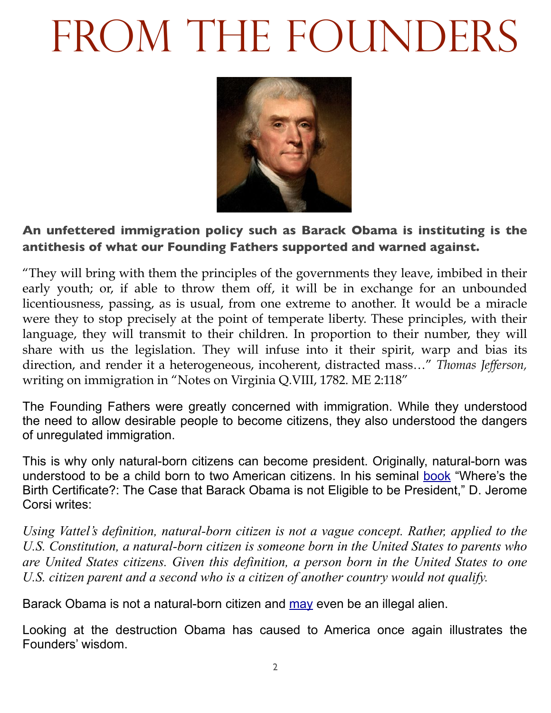# FROM THE FOUNDERS



#### **An unfettered immigration policy such as Barack Obama is instituting is the antithesis of what our Founding Fathers supported and warned against.**

"They will bring with them the principles of the governments they leave, imbibed in their early youth; or, if able to throw them off, it will be in exchange for an unbounded licentiousness, passing, as is usual, from one extreme to another. It would be a miracle were they to stop precisely at the point of temperate liberty. These principles, with their language, they will transmit to their children. In proportion to their number, they will share with us the legislation. They will infuse into it their spirit, warp and bias its direction, and render it a heterogeneous, incoherent, distracted mass…" *Thomas Jefferson,* writing on immigration in "Notes on Virginia Q.VIII, 1782. ME 2:118"

The Founding Fathers were greatly concerned with immigration. While they understood the need to allow desirable people to become citizens, they also understood the dangers of unregulated immigration.

This is why only natural-born citizens can become president. Originally, natural-born was understood to be a child born to two American citizens. In his seminal [book](http://www.amazon.com/Wheres-Birth-Certificate-Eligible-President/dp/1936488299?&linkCode=waf&tag=jeffconsservi-20) "Where's the Birth Certificate?: The Case that Barack Obama is not Eligible to be President," D. Jerome Corsi writes:

*Using Vattel's definition, natural-born citizen is not a vague concept. Rather, applied to the U.S. Constitution, a natural-born citizen is someone born in the United States to parents who are United States citizens. Given this definition, a person born in the United States to one U.S. citizen parent and a second who is a citizen of another country would not qualify.* 

Barack Obama is not a natural-born citizen and [may](http://www.freerepublic.com/focus/chat/2673192/posts) even be an illegal alien.

Looking at the destruction Obama has caused to America once again illustrates the Founders' wisdom.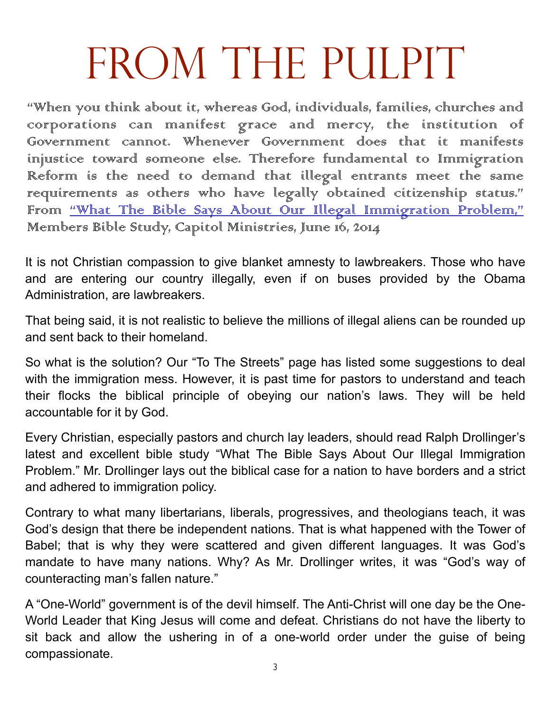## FROM THE PULPIT

"When you think about it, whereas God, individuals, families, churches and corporations can manifest grace and mercy, the institution of Government cannot. Whenever Government does that it manifests injustice toward someone else. Therefore fundamental to Immigration Reform is the meed to demand that illegal entrants meet the same requirements as others who have legally obtained citizenship status." From "What The Bible Says About Our Illegal Imminigration Problem," Members Bible Study, Capitol Ministries, June 16, 2014

It is not Christian compassion to give blanket amnesty to lawbreakers. Those who have and are entering our country illegally, even if on buses provided by the Obama Administration, are lawbreakers.

That being said, it is not realistic to believe the millions of illegal aliens can be rounded up and sent back to their homeland.

So what is the solution? Our "To The Streets" page has listed some suggestions to deal with the immigration mess. However, it is past time for pastors to understand and teach their flocks the biblical principle of obeying our nation's laws. They will be held accountable for it by God.

Every Christian, especially pastors and church lay leaders, should read Ralph Drollinger's latest and excellent bible study "What The Bible Says About Our Illegal Immigration Problem." Mr. Drollinger lays out the biblical case for a nation to have borders and a strict and adhered to immigration policy.

Contrary to what many libertarians, liberals, progressives, and theologians teach, it was God's design that there be independent nations. That is what happened with the Tower of Babel; that is why they were scattered and given different languages. It was God's mandate to have many nations. Why? As Mr. Drollinger writes, it was "God's way of counteracting man's fallen nature."

A "One-World" government is of the devil himself. The Anti-Christ will one day be the One-World Leader that King Jesus will come and defeat. Christians do not have the liberty to sit back and allow the ushering in of a one-world order under the guise of being compassionate.